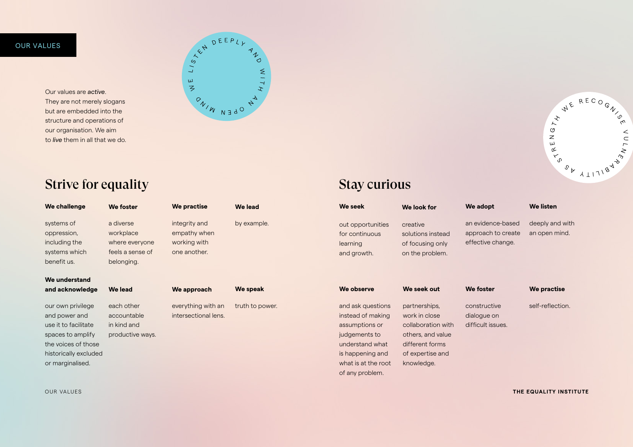### OUR VALUES THE EQUALITY INSTITUTE

Our values are *active*. They are not merely slogans but are embedded into the structure and operations of our organisation. We aim to *live* them in all that we do.



constructive dialogue on difficult issues. self-reflection.

| We challenge                                                                                                                                        | <b>We foster</b>                                                           | <b>We practise</b>                                            | <b>We lead</b>  | <b>We seek</b>                                                                                                                                             | We look for                                                                                                                    | We adopt                                  |
|-----------------------------------------------------------------------------------------------------------------------------------------------------|----------------------------------------------------------------------------|---------------------------------------------------------------|-----------------|------------------------------------------------------------------------------------------------------------------------------------------------------------|--------------------------------------------------------------------------------------------------------------------------------|-------------------------------------------|
| systems of<br>oppression,<br>including the<br>systems which<br>benefit us.                                                                          | a diverse<br>workplace<br>where everyone<br>feels a sense of<br>belonging. | integrity and<br>empathy when<br>working with<br>one another. | by example.     | out opportunities<br>for continuous<br>learning<br>and growth.                                                                                             | creative<br>solutions instead<br>of focusing only<br>on the problem.                                                           | an eviden<br>approach<br>effective o      |
| We understand<br>and acknowledge                                                                                                                    | We lead                                                                    | We approach                                                   | We speak        | We observe                                                                                                                                                 | We seek out                                                                                                                    | <b>We foster</b>                          |
| our own privilege<br>and power and<br>use it to facilitate<br>spaces to amplify<br>the voices of those<br>historically excluded<br>or marginalised. | each other<br>accountable<br>in kind and<br>productive ways.               | everything with an<br>intersectional lens.                    | truth to power. | and ask questions<br>instead of making<br>assumptions or<br>judgements to<br>understand what<br>is happening and<br>what is at the root<br>of any problem. | partnerships,<br>work in close<br>collaboration with<br>others, and value<br>different forms<br>of expertise and<br>knowledge. | constructi<br>dialogue c<br>difficult iss |



## Strive for equality

## OUR VALUES

deeply and with an open mind.

**We foster We practise** 

### **We listen**

an evidence-based approach to create effective change.

### **We adopt**

Stay curious